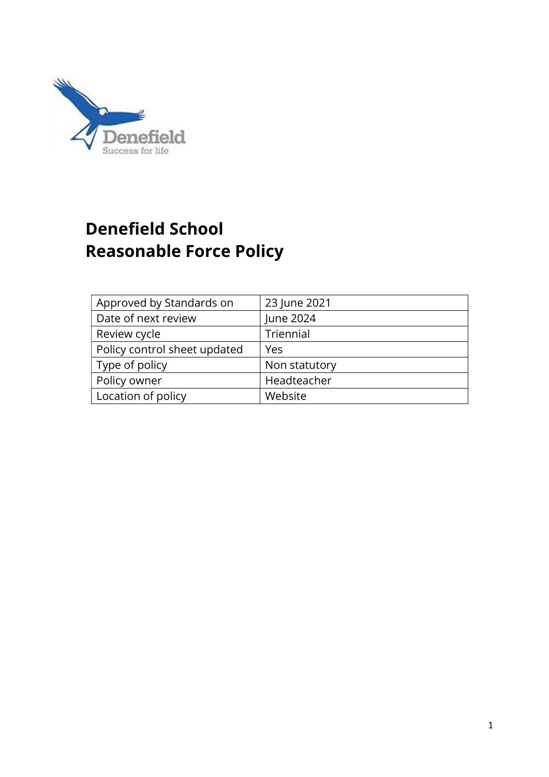

# Denefield School Reasonable Force Policy

| Approved by Standards on     | 23 June 2021  |
|------------------------------|---------------|
| Date of next review          | June 2024     |
| Review cycle                 | Triennial     |
| Policy control sheet updated | Yes           |
| Type of policy               | Non statutory |
| Policy owner                 | Headteacher   |
| Location of policy           | Website       |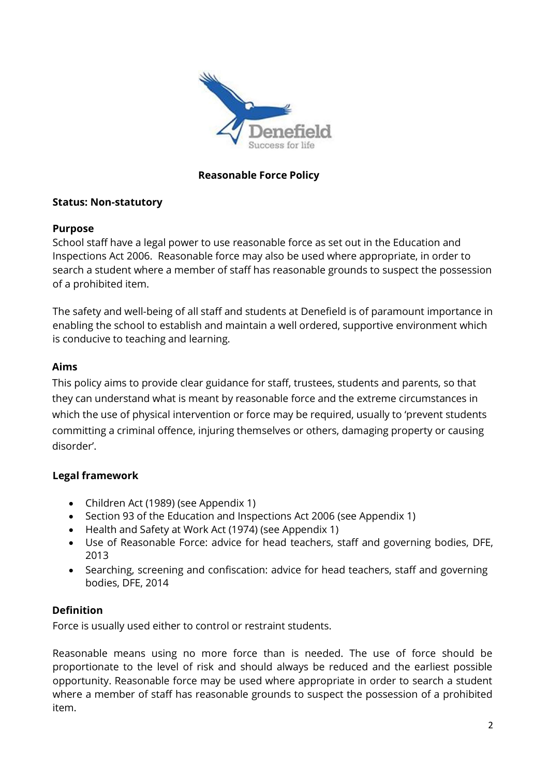

## Reasonable Force Policy

### Status: Non-statutory

#### Purpose

School staff have a legal power to use reasonable force as set out in the Education and Inspections Act 2006. Reasonable force may also be used where appropriate, in order to search a student where a member of staff has reasonable grounds to suspect the possession of a prohibited item.

The safety and well-being of all staff and students at Denefield is of paramount importance in enabling the school to establish and maintain a well ordered, supportive environment which is conducive to teaching and learning.

## Aims

This policy aims to provide clear guidance for staff, trustees, students and parents, so that they can understand what is meant by reasonable force and the extreme circumstances in which the use of physical intervention or force may be required, usually to 'prevent students committing a criminal offence, injuring themselves or others, damaging property or causing disorder'.

## Legal framework

- Children Act (1989) (see Appendix 1)
- Section 93 of the Education and Inspections Act 2006 (see Appendix 1)
- Health and Safety at Work Act (1974) (see Appendix 1)
- Use of Reasonable Force: advice for head teachers, staff and governing bodies, DFE, 2013
- Searching, screening and confiscation: advice for head teachers, staff and governing bodies, DFE, 2014

## **Definition**

Force is usually used either to control or restraint students.

Reasonable means using no more force than is needed. The use of force should be proportionate to the level of risk and should always be reduced and the earliest possible opportunity. Reasonable force may be used where appropriate in order to search a student where a member of staff has reasonable grounds to suspect the possession of a prohibited item.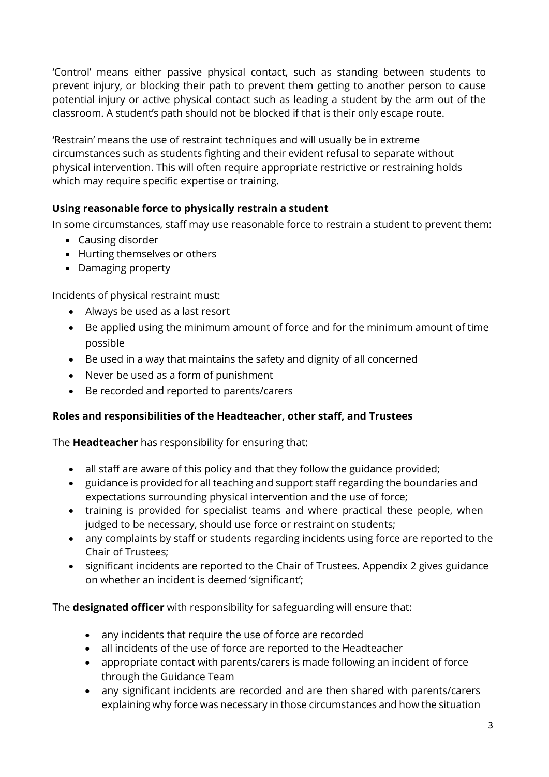'Control' means either passive physical contact, such as standing between students to prevent injury, or blocking their path to prevent them getting to another person to cause potential injury or active physical contact such as leading a student by the arm out of the classroom. A student's path should not be blocked if that is their only escape route.

'Restrain' means the use of restraint techniques and will usually be in extreme circumstances such as students fighting and their evident refusal to separate without physical intervention. This will often require appropriate restrictive or restraining holds which may require specific expertise or training.

# Using reasonable force to physically restrain a student

In some circumstances, staff may use reasonable force to restrain a student to prevent them:

- Causing disorder
- Hurting themselves or others
- Damaging property

Incidents of physical restraint must:

- Always be used as a last resort
- Be applied using the minimum amount of force and for the minimum amount of time possible
- Be used in a way that maintains the safety and dignity of all concerned
- Never be used as a form of punishment
- Be recorded and reported to parents/carers

## Roles and responsibilities of the Headteacher, other staff, and Trustees

The Headteacher has responsibility for ensuring that:

- all staff are aware of this policy and that they follow the guidance provided;
- guidance is provided for all teaching and support staff regarding the boundaries and expectations surrounding physical intervention and the use of force;
- training is provided for specialist teams and where practical these people, when judged to be necessary, should use force or restraint on students;
- any complaints by staff or students regarding incidents using force are reported to the Chair of Trustees;
- significant incidents are reported to the Chair of Trustees. Appendix 2 gives guidance on whether an incident is deemed 'significant';

The **designated officer** with responsibility for safeguarding will ensure that:

- any incidents that require the use of force are recorded
- all incidents of the use of force are reported to the Headteacher
- appropriate contact with parents/carers is made following an incident of force through the Guidance Team
- any significant incidents are recorded and are then shared with parents/carers explaining why force was necessary in those circumstances and how the situation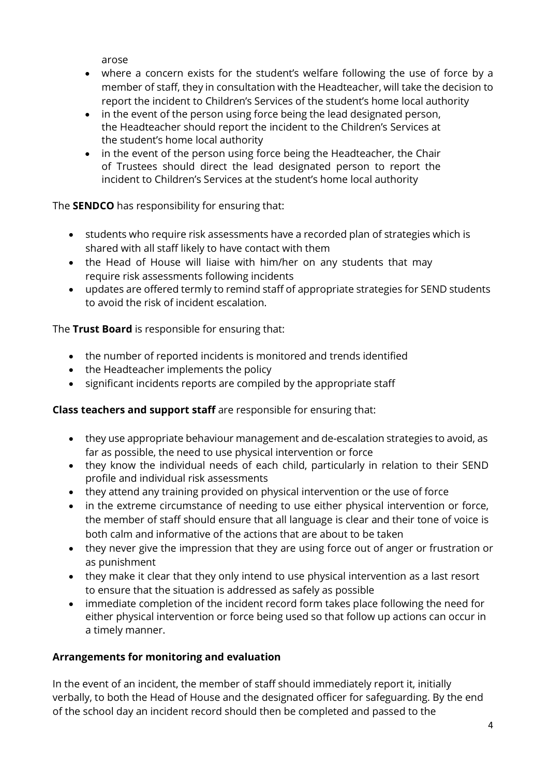arose

- where a concern exists for the student's welfare following the use of force by a member of staff, they in consultation with the Headteacher, will take the decision to report the incident to Children's Services of the student's home local authority
- in the event of the person using force being the lead designated person, the Headteacher should report the incident to the Children's Services at the student's home local authority
- in the event of the person using force being the Headteacher, the Chair of Trustees should direct the lead designated person to report the incident to Children's Services at the student's home local authority

The **SENDCO** has responsibility for ensuring that:

- students who require risk assessments have a recorded plan of strategies which is shared with all staff likely to have contact with them
- the Head of House will liaise with him/her on any students that may require risk assessments following incidents
- updates are offered termly to remind staff of appropriate strategies for SEND students to avoid the risk of incident escalation.

The Trust Board is responsible for ensuring that:

- the number of reported incidents is monitored and trends identified
- the Headteacher implements the policy
- significant incidents reports are compiled by the appropriate staff

## Class teachers and support staff are responsible for ensuring that:

- they use appropriate behaviour management and de-escalation strategies to avoid, as far as possible, the need to use physical intervention or force
- they know the individual needs of each child, particularly in relation to their SEND profile and individual risk assessments
- they attend any training provided on physical intervention or the use of force
- in the extreme circumstance of needing to use either physical intervention or force, the member of staff should ensure that all language is clear and their tone of voice is both calm and informative of the actions that are about to be taken
- they never give the impression that they are using force out of anger or frustration or as punishment
- they make it clear that they only intend to use physical intervention as a last resort to ensure that the situation is addressed as safely as possible
- immediate completion of the incident record form takes place following the need for either physical intervention or force being used so that follow up actions can occur in a timely manner.

# Arrangements for monitoring and evaluation

In the event of an incident, the member of staff should immediately report it, initially verbally, to both the Head of House and the designated officer for safeguarding. By the end of the school day an incident record should then be completed and passed to the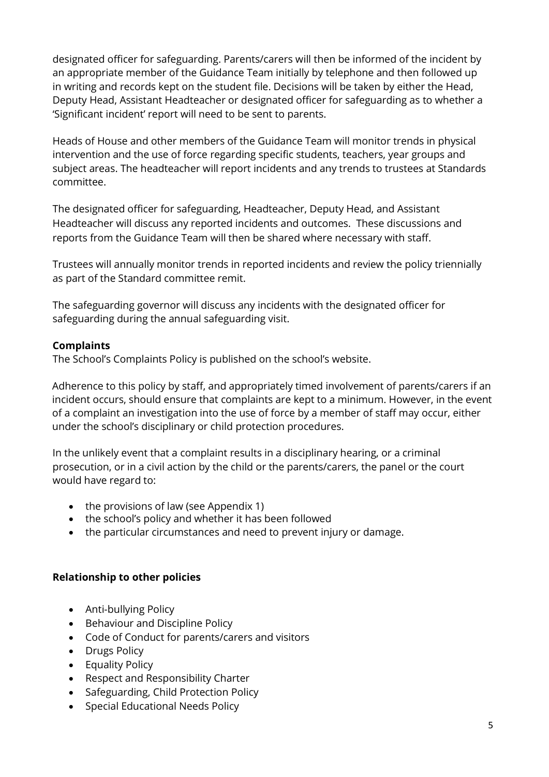designated officer for safeguarding. Parents/carers will then be informed of the incident by an appropriate member of the Guidance Team initially by telephone and then followed up in writing and records kept on the student file. Decisions will be taken by either the Head, Deputy Head, Assistant Headteacher or designated officer for safeguarding as to whether a 'Significant incident' report will need to be sent to parents.

Heads of House and other members of the Guidance Team will monitor trends in physical intervention and the use of force regarding specific students, teachers, year groups and subject areas. The headteacher will report incidents and any trends to trustees at Standards committee.

The designated officer for safeguarding, Headteacher, Deputy Head, and Assistant Headteacher will discuss any reported incidents and outcomes. These discussions and reports from the Guidance Team will then be shared where necessary with staff.

Trustees will annually monitor trends in reported incidents and review the policy triennially as part of the Standard committee remit.

The safeguarding governor will discuss any incidents with the designated officer for safeguarding during the annual safeguarding visit.

## Complaints

The School's Complaints Policy is published on the school's website.

Adherence to this policy by staff, and appropriately timed involvement of parents/carers if an incident occurs, should ensure that complaints are kept to a minimum. However, in the event of a complaint an investigation into the use of force by a member of staff may occur, either under the school's disciplinary or child protection procedures.

In the unlikely event that a complaint results in a disciplinary hearing, or a criminal prosecution, or in a civil action by the child or the parents/carers, the panel or the court would have regard to:

- $\bullet$  the provisions of law (see Appendix 1)
- the school's policy and whether it has been followed
- the particular circumstances and need to prevent injury or damage.

## Relationship to other policies

- Anti-bullying Policy
- Behaviour and Discipline Policy
- Code of Conduct for parents/carers and visitors
- Drugs Policy
- Equality Policy
- Respect and Responsibility Charter
- Safeguarding, Child Protection Policy
- Special Educational Needs Policy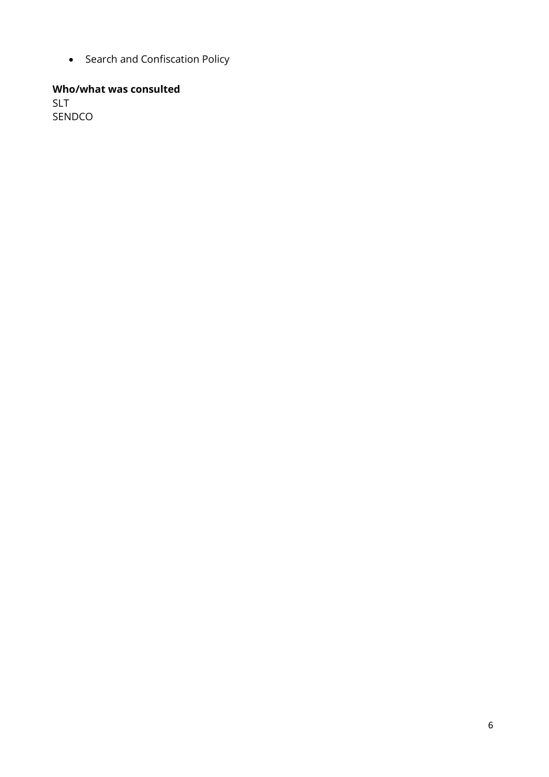• Search and Confiscation Policy

Who/what was consulted SLT

SENDCO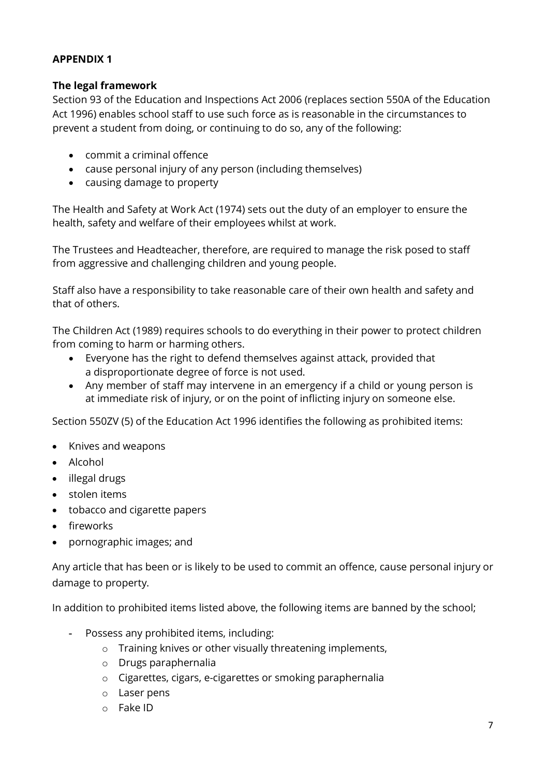# APPENDIX 1

## The legal framework

Section 93 of the Education and Inspections Act 2006 (replaces section 550A of the Education Act 1996) enables school staff to use such force as is reasonable in the circumstances to prevent a student from doing, or continuing to do so, any of the following:

- commit a criminal offence
- cause personal injury of any person (including themselves)
- causing damage to property

The Health and Safety at Work Act (1974) sets out the duty of an employer to ensure the health, safety and welfare of their employees whilst at work.

The Trustees and Headteacher, therefore, are required to manage the risk posed to staff from aggressive and challenging children and young people.

Staff also have a responsibility to take reasonable care of their own health and safety and that of others.

The Children Act (1989) requires schools to do everything in their power to protect children from coming to harm or harming others.

- Everyone has the right to defend themselves against attack, provided that a disproportionate degree of force is not used.
- Any member of staff may intervene in an emergency if a child or young person is at immediate risk of injury, or on the point of inflicting injury on someone else.

Section 550ZV (5) of the Education Act 1996 identifies the following as prohibited items:

- Knives and weapons
- Alcohol
- illegal drugs
- stolen items
- tobacco and cigarette papers
- fireworks
- pornographic images; and

Any article that has been or is likely to be used to commit an offence, cause personal injury or damage to property.

In addition to prohibited items listed above, the following items are banned by the school;

- Possess any prohibited items, including:
	- o Training knives or other visually threatening implements,
	- o Drugs paraphernalia
	- o Cigarettes, cigars, e-cigarettes or smoking paraphernalia
	- o Laser pens
	- o Fake ID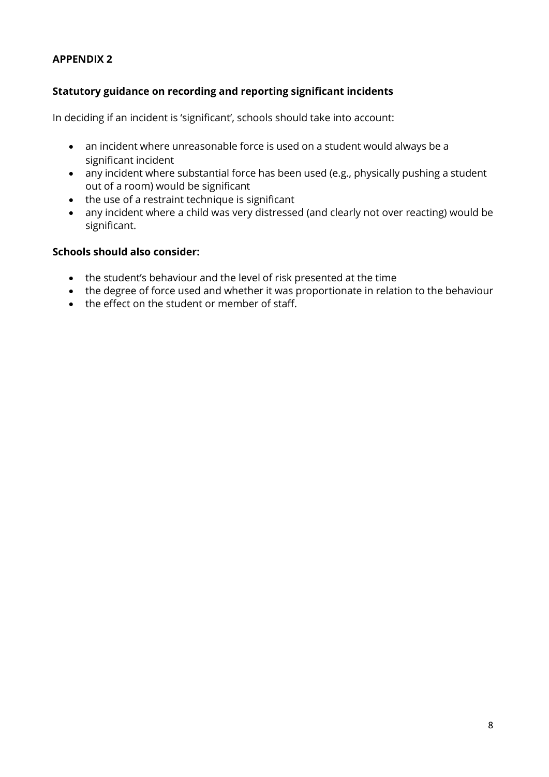## APPENDIX 2

# Statutory guidance on recording and reporting significant incidents

In deciding if an incident is 'significant', schools should take into account:

- an incident where unreasonable force is used on a student would always be a significant incident
- any incident where substantial force has been used (e.g., physically pushing a student out of a room) would be significant
- the use of a restraint technique is significant
- any incident where a child was very distressed (and clearly not over reacting) would be significant.

### Schools should also consider:

- the student's behaviour and the level of risk presented at the time
- the degree of force used and whether it was proportionate in relation to the behaviour
- the effect on the student or member of staff.